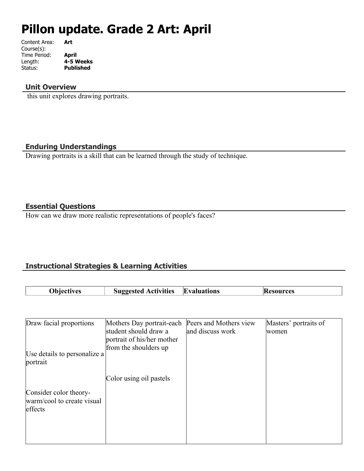# **Pillon update. Grade 2 Art: April**

| Content Area: | Art              |
|---------------|------------------|
| Course(s):    |                  |
| Time Period:  | April            |
| Length:       | 4-5 Weeks        |
| Status:       | <b>Published</b> |
|               |                  |

### **Unit Overview**

this unit explores drawing portraits.

# **Enduring Understandings**

Drawing portraits is a skill that can be learned through the study of technique.

## **Essential Questions**

How can we draw more realistic representations of people's faces?

# **Instructional Strategies & Learning Activities**

| 11/06<br>- II h | ctivities، | IF<br>ıations<br>้บดไ | ΛΛ, |
|-----------------|------------|-----------------------|-----|
|                 |            |                       |     |

| Draw facial proportions<br>Use details to personalize a<br>portrait | Mothers Day portrait-each<br>student should draw a<br>portrait of his/her mother<br>from the shoulders up | Peers and Mothers view<br>and discuss work | Masters' portraits of<br>women |
|---------------------------------------------------------------------|-----------------------------------------------------------------------------------------------------------|--------------------------------------------|--------------------------------|
| Consider color theory-<br>warm/cool to create visual<br>effects     | Color using oil pastels                                                                                   |                                            |                                |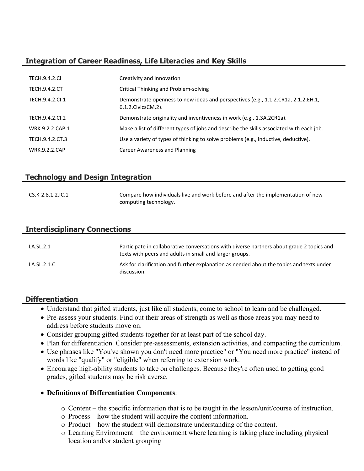# **Integration of Career Readiness, Life Literacies and Key Skills**

| <b>TECH.9.4.2.CI</b> | Creativity and Innovation                                                                                  |
|----------------------|------------------------------------------------------------------------------------------------------------|
| <b>TECH.9.4.2.CT</b> | Critical Thinking and Problem-solving                                                                      |
| TECH.9.4.2.CI.1      | Demonstrate openness to new ideas and perspectives (e.g., 1.1.2.CR1a, 2.1.2.EH.1,<br>6.1.2. Civics CM. 2). |
| TECH.9.4.2.CI.2      | Demonstrate originality and inventiveness in work (e.g., 1.3A.2CR1a).                                      |
| WRK.9.2.2.CAP.1      | Make a list of different types of jobs and describe the skills associated with each job.                   |
| TECH.9.4.2.CT.3      | Use a variety of types of thinking to solve problems (e.g., inductive, deductive).                         |
| <b>WRK.9.2.2.CAP</b> | Career Awareness and Planning                                                                              |

## **Technology and Design Integration**

| CS.K-2.8.1.2.IC.1 | Compare how individuals live and work before and after the implementation of new |
|-------------------|----------------------------------------------------------------------------------|
|                   | computing technology.                                                            |

#### **Interdisciplinary Connections**

| LA.SL.2.1   | Participate in collaborative conversations with diverse partners about grade 2 topics and<br>texts with peers and adults in small and larger groups. |
|-------------|------------------------------------------------------------------------------------------------------------------------------------------------------|
| LA.SL.2.1.C | Ask for clarification and further explanation as needed about the topics and texts under<br>discussion.                                              |

#### **Differentiation**

- Understand that gifted students, just like all students, come to school to learn and be challenged.
- Pre-assess your students. Find out their areas of strength as well as those areas you may need to address before students move on.
- Consider grouping gifted students together for at least part of the school day.
- Plan for differentiation. Consider pre-assessments, extension activities, and compacting the curriculum.
- Use phrases like "You've shown you don't need more practice" or "You need more practice" instead of words like "qualify" or "eligible" when referring to extension work.
- Encourage high-ability students to take on challenges. Because they're often used to getting good grades, gifted students may be risk averse.
- **Definitions of Differentiation Components**:
	- o Content the specific information that is to be taught in the lesson/unit/course of instruction.
	- o Process how the student will acquire the content information.
	- o Product how the student will demonstrate understanding of the content.
	- o Learning Environment the environment where learning is taking place including physical location and/or student grouping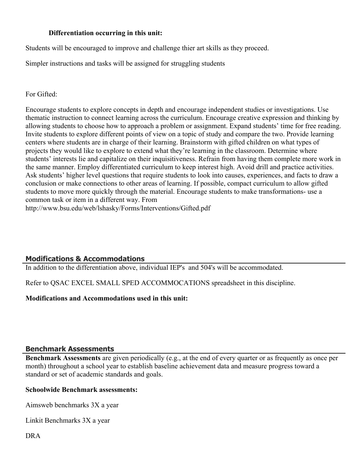#### **Differentiation occurring in this unit:**

Students will be encouraged to improve and challenge thier art skills as they proceed.

Simpler instructions and tasks will be assigned for struggling students

#### For Gifted:

Encourage students to explore concepts in depth and encourage independent studies or investigations. Use thematic instruction to connect learning across the curriculum. Encourage creative expression and thinking by allowing students to choose how to approach a problem or assignment. Expand students' time for free reading. Invite students to explore different points of view on a topic of study and compare the two. Provide learning centers where students are in charge of their learning. Brainstorm with gifted children on what types of projects they would like to explore to extend what they're learning in the classroom. Determine where students' interests lie and capitalize on their inquisitiveness. Refrain from having them complete more work in the same manner. Employ differentiated curriculum to keep interest high. Avoid drill and practice activities. Ask students' higher level questions that require students to look into causes, experiences, and facts to draw a conclusion or make connections to other areas of learning. If possible, compact curriculum to allow gifted students to move more quickly through the material. Encourage students to make transformations- use a common task or item in a different way. From

http://www.bsu.edu/web/lshasky/Forms/Interventions/Gifted.pdf

# **Modifications & Accommodations**

In addition to the differentiation above, individual IEP's and 504's will be accommodated.

Refer to QSAC EXCEL SMALL SPED ACCOMMOCATIONS spreadsheet in this discipline.

**Modifications and Accommodations used in this unit:**

#### **Benchmark Assessments**

**Benchmark Assessments** are given periodically (e.g., at the end of every quarter or as frequently as once per month) throughout a school year to establish baseline achievement data and measure progress toward a standard or set of academic standards and goals.

#### **Schoolwide Benchmark assessments:**

Aimsweb benchmarks 3X a year

Linkit Benchmarks 3X a year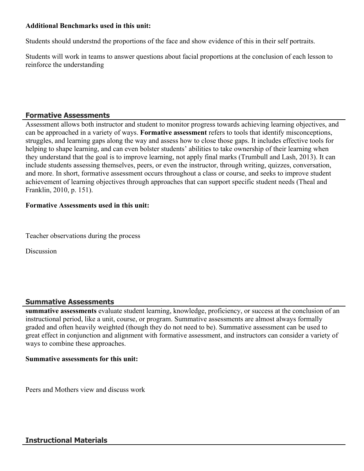#### **Additional Benchmarks used in this unit:**

Students should understnd the proportions of the face and show evidence of this in their self portraits.

Students will work in teams to answer questions about facial proportions at the conclusion of each lesson to reinforce the understanding

#### **Formative Assessments**

Assessment allows both instructor and student to monitor progress towards achieving learning objectives, and can be approached in a variety of ways. **Formative assessment** refers to tools that identify misconceptions, struggles, and learning gaps along the way and assess how to close those gaps. It includes effective tools for helping to shape learning, and can even bolster students' abilities to take ownership of their learning when they understand that the goal is to improve learning, not apply final marks (Trumbull and Lash, 2013). It can include students assessing themselves, peers, or even the instructor, through writing, quizzes, conversation, and more. In short, formative assessment occurs throughout a class or course, and seeks to improve student achievement of learning objectives through approaches that can support specific student needs (Theal and Franklin, 2010, p. 151).

## **Formative Assessments used in this unit:**

Teacher observations during the process

**Discussion** 

# **Summative Assessments**

**summative assessments** evaluate student learning, knowledge, proficiency, or success at the conclusion of an instructional period, like a unit, course, or program. Summative assessments are almost always formally graded and often heavily weighted (though they do not need to be). Summative assessment can be used to great effect in conjunction and alignment with formative assessment, and instructors can consider a variety of ways to combine these approaches.

#### **Summative assessments for this unit:**

Peers and Mothers view and discuss work